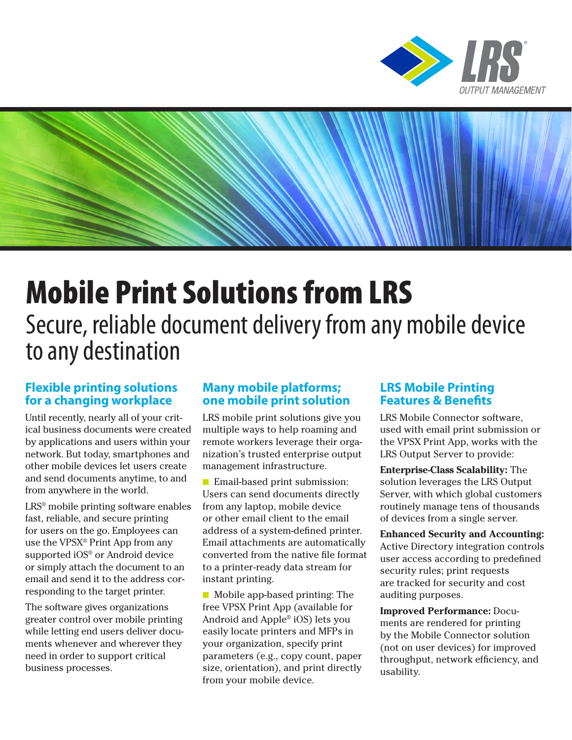



# Mobile Print Solutions from LRS Secure, reliable document delivery from any mobile device to any destination

## **Flexible printing solutions for a changing workplace**

Until recently, nearly all of your critical business documents were created by applications and users within your network. But today, smartphones and other mobile devices let users create and send documents anytime, to and from anywhere in the world.

LRS® mobile printing software enables fast, reliable, and secure printing for users on the go. Employees can use the VPSX® Print App from any supported iOS® or Android device or simply attach the document to an email and send it to the address corresponding to the target printer.

The software gives organizations greater control over mobile printing while letting end users deliver documents whenever and wherever they need in order to support critical business processes.

### **Many mobile platforms; one mobile print solution**

LRS mobile print solutions give you multiple ways to help roaming and remote workers leverage their organization's trusted enterprise output management infrastructure.

■ Email-based print submission: Users can send documents directly from any laptop, mobile device or other email client to the email address of a system-defined printer. Email attachments are automatically converted from the native file format to a printer-ready data stream for instant printing.

■ Mobile app-based printing: The free VPSX Print App (available for Android and Apple® iOS) lets you easily locate printers and MFPs in your organization, specify print parameters (e.g., copy count, paper size, orientation), and print directly from your mobile device.

## **LRS Mobile Printing Features & Benefits**

LRS Mobile Connector software, used with email print submission or the VPSX Print App, works with the LRS Output Server to provide:

**Enterprise-Class Scalability:** The solution leverages the LRS Output Server, with which global customers routinely manage tens of thousands of devices from a single server.

**Enhanced Security and Accounting:**  Active Directory integration controls user access according to predefined security rules; print requests are tracked for security and cost auditing purposes.

**Improved Performance:** Documents are rendered for printing by the Mobile Connector solution (not on user devices) for improved throughput, network efficiency, and usability.